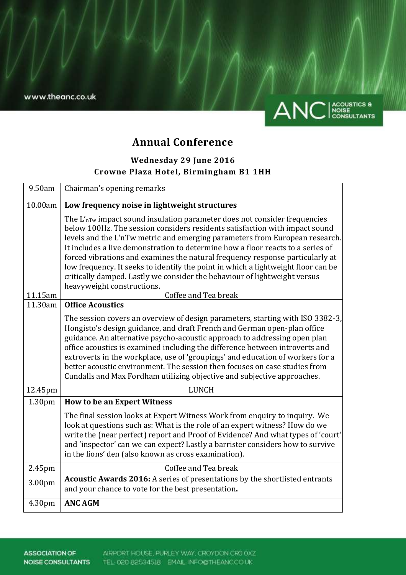

# **Annual Conference**

## **Wednesday 29 June 2016 Crowne Plaza Hotel, Birmingham B1 1HH**

| 9.50am             | Chairman's opening remarks                                                                                                                                                                                                                                                                                                                                                                                                                                                                                                                                                                                              |
|--------------------|-------------------------------------------------------------------------------------------------------------------------------------------------------------------------------------------------------------------------------------------------------------------------------------------------------------------------------------------------------------------------------------------------------------------------------------------------------------------------------------------------------------------------------------------------------------------------------------------------------------------------|
| 10.00am            | Low frequency noise in lightweight structures                                                                                                                                                                                                                                                                                                                                                                                                                                                                                                                                                                           |
|                    | The $L'_{\text{nTw}}$ impact sound insulation parameter does not consider frequencies<br>below 100Hz. The session considers residents satisfaction with impact sound<br>levels and the L'nTw metric and emerging parameters from European research.<br>It includes a live demonstration to determine how a floor reacts to a series of<br>forced vibrations and examines the natural frequency response particularly at<br>low frequency. It seeks to identify the point in which a lightweight floor can be<br>critically damped. Lastly we consider the behaviour of lightweight versus<br>heavyweight constructions. |
| 11.15am            | Coffee and Tea break                                                                                                                                                                                                                                                                                                                                                                                                                                                                                                                                                                                                    |
| 11.30am            | <b>Office Acoustics</b><br>The session covers an overview of design parameters, starting with ISO 3382-3,<br>Hongisto's design guidance, and draft French and German open-plan office<br>guidance. An alternative psycho-acoustic approach to addressing open plan<br>office acoustics is examined including the difference between introverts and<br>extroverts in the workplace, use of 'groupings' and education of workers for a<br>better acoustic environment. The session then focuses on case studies from<br>Cundalls and Max Fordham utilizing objective and subjective approaches.                           |
| 12.45pm            | <b>LUNCH</b>                                                                                                                                                                                                                                                                                                                                                                                                                                                                                                                                                                                                            |
| 1.30 <sub>pm</sub> | <b>How to be an Expert Witness</b>                                                                                                                                                                                                                                                                                                                                                                                                                                                                                                                                                                                      |
|                    | The final session looks at Expert Witness Work from enquiry to inquiry. We<br>look at questions such as: What is the role of an expert witness? How do we<br>write the (near perfect) report and Proof of Evidence? And what types of 'court'<br>and 'inspector' can we can expect? Lastly a barrister considers how to survive<br>in the lions' den (also known as cross examination).                                                                                                                                                                                                                                 |
| 2.45pm             | Coffee and Tea break                                                                                                                                                                                                                                                                                                                                                                                                                                                                                                                                                                                                    |
| 3.00pm             | Acoustic Awards 2016: A series of presentations by the shortlisted entrants<br>and your chance to vote for the best presentation.                                                                                                                                                                                                                                                                                                                                                                                                                                                                                       |
| 4.30pm             | <b>ANC AGM</b>                                                                                                                                                                                                                                                                                                                                                                                                                                                                                                                                                                                                          |